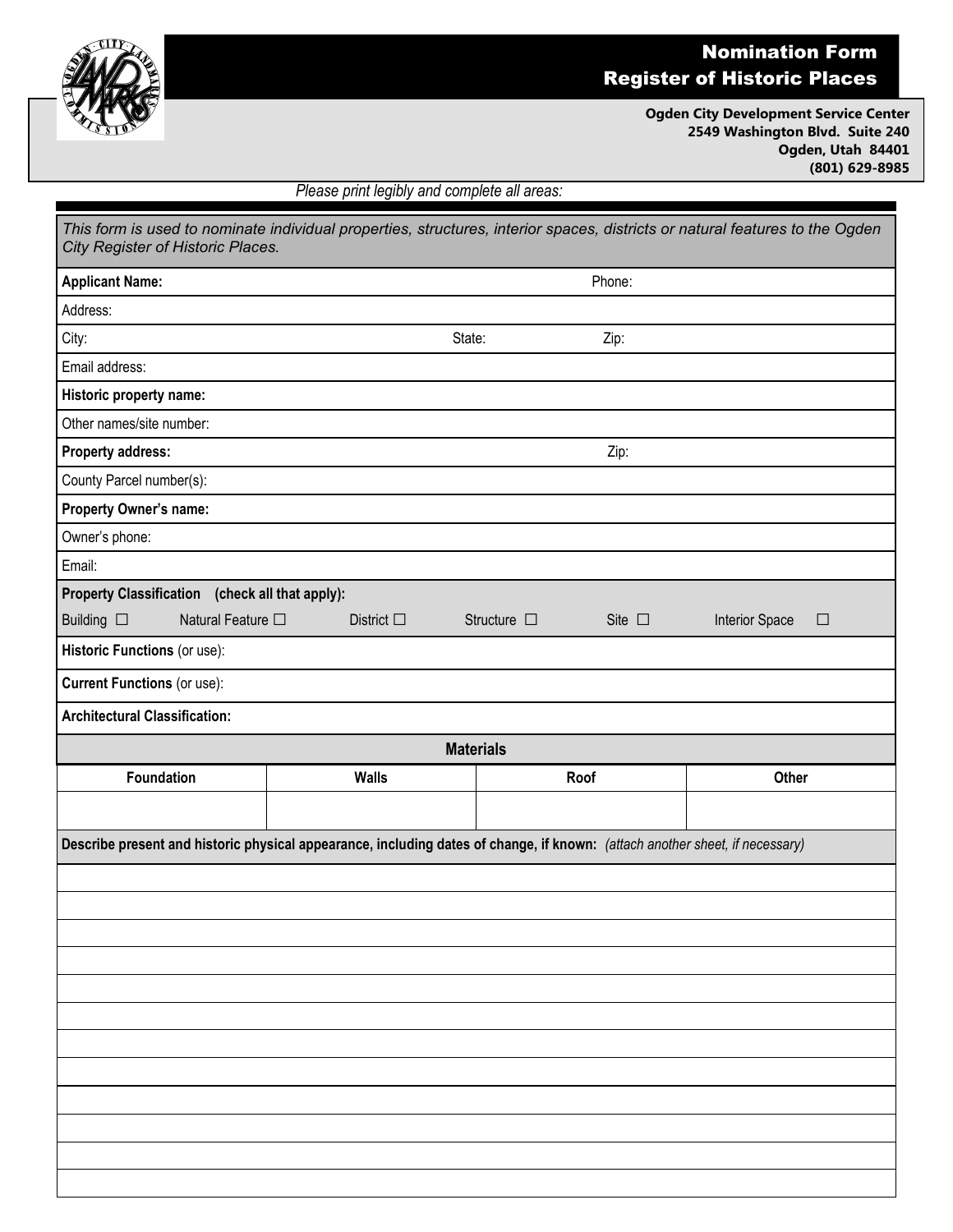

## Nomination Form Register of Historic Places

**Ogden City Development Service Center 2549 Washington Blvd. Suite 240 Ogden, Utah 84401 (801) 629-8985**

*Please print legibly and complete all areas:*

| This form is used to nominate individual properties, structures, interior spaces, districts or natural features to the Ogden<br>City Register of Historic Places. |                    |                                       |                          |
|-------------------------------------------------------------------------------------------------------------------------------------------------------------------|--------------------|---------------------------------------|--------------------------|
| <b>Applicant Name:</b>                                                                                                                                            |                    | Phone:                                |                          |
| Address:                                                                                                                                                          |                    |                                       |                          |
| City:                                                                                                                                                             | State:             | Zip:                                  |                          |
| Email address:                                                                                                                                                    |                    |                                       |                          |
| Historic property name:                                                                                                                                           |                    |                                       |                          |
| Other names/site number:                                                                                                                                          |                    |                                       |                          |
| <b>Property address:</b>                                                                                                                                          | Zip:               |                                       |                          |
| County Parcel number(s):                                                                                                                                          |                    |                                       |                          |
| <b>Property Owner's name:</b>                                                                                                                                     |                    |                                       |                          |
| Owner's phone:                                                                                                                                                    |                    |                                       |                          |
| Email:                                                                                                                                                            |                    |                                       |                          |
| Property Classification (check all that apply):                                                                                                                   |                    |                                       |                          |
| Natural Feature □<br>Building $\square$                                                                                                                           | District $\square$ | Structure $\square$<br>Site $\square$ | Interior Space<br>$\Box$ |
| Historic Functions (or use):                                                                                                                                      |                    |                                       |                          |
| <b>Current Functions (or use):</b>                                                                                                                                |                    |                                       |                          |
| <b>Architectural Classification:</b>                                                                                                                              |                    |                                       |                          |
| <b>Materials</b>                                                                                                                                                  |                    |                                       |                          |
| Foundation                                                                                                                                                        | <b>Walls</b>       | Roof                                  | Other                    |
|                                                                                                                                                                   |                    |                                       |                          |
| Describe present and historic physical appearance, including dates of change, if known: (attach another sheet, if necessary)                                      |                    |                                       |                          |
|                                                                                                                                                                   |                    |                                       |                          |
|                                                                                                                                                                   |                    |                                       |                          |
|                                                                                                                                                                   |                    |                                       |                          |
|                                                                                                                                                                   |                    |                                       |                          |
|                                                                                                                                                                   |                    |                                       |                          |
|                                                                                                                                                                   |                    |                                       |                          |
|                                                                                                                                                                   |                    |                                       |                          |
|                                                                                                                                                                   |                    |                                       |                          |
|                                                                                                                                                                   |                    |                                       |                          |
|                                                                                                                                                                   |                    |                                       |                          |
|                                                                                                                                                                   |                    |                                       |                          |
|                                                                                                                                                                   |                    |                                       |                          |